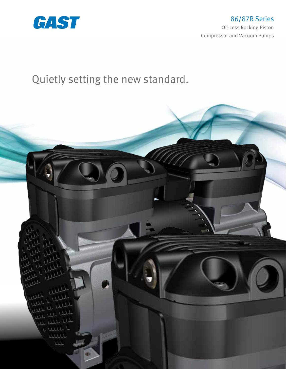

Quietly setting the new standard.

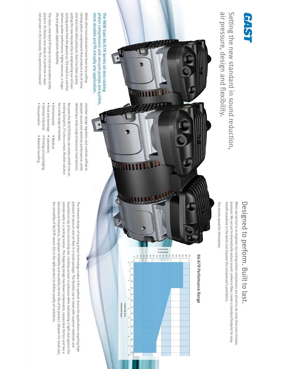# **GAST**

air pressure, design and flexibility. Setting the new standard in sound reduction, air pressure, design and flexibility. Setting the new standard in sound reduction,

# Designed to perform. Built to last. Designed to perform. Built to last.

retrofit anywhere in the world and improve the compressor's aesthetics. pressure. We set out to dramatically reduce sound, enhance flow, create a standard footprint for easy When we set out to re-engineer our rocking piston compressor, we aimed to do more than just increase retrofit anywhere in the world and improve the compressor's aesthetics. pressure. We set out to dramatically reduce sound, enhance flow, create a standard footprint for easy When we set out to re-engineer our rocking piston compressor, we aimed to do more than just increase

The results speak for themselves. The results speak for themselves.

## 86-87R Performance Range 86-87R Performance Range



#### more durable and fit virtually any application. piston compressors and vacuum pumps are quieter, The NEW Gast 86/87R Series oil-less rocking The NEW Gast 86/87R Series oil-less rocking more durable and fit virtually any application. piston compressors and vacuum pumps are quieter,

life and greater application flexibility. rocking piston compressors that produce a lot of noise life and greater application flexibility. delivers quieter performance, higher pressure, a longer delivers quieter performance, higher pressure, a longer rocking piston from the ground up. The result is a unit that rocking piston from the ground up. The result is a unit that setting the new standard by re-engineering our oil-less setting the new standard by re-engineering our oil-less and less-than-ideal pressure, Gast has been quietly and less-than-ideal pressure, Gast has been quietly rocking piston compressors that produce a lot of noise While other manufacturers have been busy selling While other manufacturers have been busy selling

The sleek, new 86/87R Series is not just another pretty not yet seen in the industry. The patented crossover not yet seen in the industry. The patented crossover product. Its beauty runs deep as it performs in ways product. Its beauty runs deep as it performs in ways The sleek, new 86/87R Series is not just another pretty

> delivering a wide range of pressure level options. dampen sound and optimize performance, while chamber design regulates and controls airflow to delivering a wide range of pressure level options. dampen sound and optimize performance, while chamber design regulates and controls airflow to

for a wide range of markets. existing footprint, it's also a smart, flexible solution Because the 86/87R Series can easily retrofit into an for a wide range of markets. existing footprint, it's also a smart, flexible solution Because the 86/87R Series can easily retrofit into an

- Environmental • Environmental • Medical
- Food and beverage Laboratory • Food and beverage · Medical • Laboratory
- General industrial • General industrial • Printing and packaging • Printing and packaging
- · Transportation • Transportation • Material handling • Material handling

the versatility of 86/87R means this is the right product to deliver quality air solutions. cylinder walls in a rocking motion. The forgiving design has fewer components, causes less friction and has a mounted on top of the connecting rod, creating vacuum or pressure while maintaining a tight seal against the the versatility of 86/87R means this is the right product to deliver quality air solutions. low exhaust temperature, for greater reliability and durability for the life of the product. Despite it's small size low exhaust temperature, for greater reliability and durability for the life of the product. Despite it's small size, cylinder walls in a rocking motion. The forgiving design has fewer components, causes less friction and has a mounted on top of the connecting rod, creating vacuum or pressure while maintaining a tight seal against the pressure or vacuum and air flow in a small package. The flexible cup is made with superior materials and pressure or vacuum and air flow in a small package. The flexible cup is made with superior materials and The inherent design of rocking piston technology makes it the optimal choice for applications requiring high The inherent design of rocking piston technology makes it the optimal choice for applications requiring high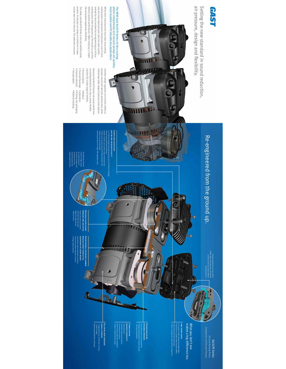### **GAST**

air pressure, design and flexibility. Setting the new standard in sound reduction, air pressure, design and flexibility. Setting the new standard in sound reduction,

Re-engineered from the ground up.

Re-engineered from the ground up.

n ŋ

#### The NEW Gast 86/87R Series oil-less rocking<br>piston compressors and vacuum pumps are quieter,<br>more durable and fit virtually any application. more durable and fit virtually any application. piston compressors and vacuum pumps are quieter, The NEW Gast 86/87R Series oil-less rocking

J

┖

**MITTLESS** 

734

WHITTLE UP

and less-than-ideal pressure, Gast has been quietly<br>setting the new standard by re-engineering our oil-less<br>noting piston from the ground up. The result is a unit that<br>delivers quieter performance, higher pressure, a longe life and greater application flexibility. rocking piston compressors that produce a lot of noise While other manufacturers have been busy selling life and greater application flexibility. delivers quieter performance, higher pressure, a longer rocking piston from the ground up. The result is a unit that setting the new standard by re-engineering our oil-less and less-than-ideal pressure, Gast has been quietly rocking piston compressors that produce a lot of noise While other manufacturers have been busy selling

The sleek, new 86/87R Series is not just another pretty<br>product. Its beauty runs deep as it performs in ways<br>not yet seen in the industry. The patented crossover not yet seen in the industry. The patented crossover product. Its beauty runs deep as it performs in ways The sleek, new 86/87R Series is not just another pretty

> chamber design regulates and controls airflow to<br>dampen sound and optimize performance, while delivering a wide range of pressure level options. delivering a wide range of pressure level options. dampen sound and optimize performance, while chamber design regulates and controls airflow to

Because the 86/87R Series can easily retrofit into<br>an existing footprint, it's also a smart, flexible solution for a wide range of markets. solution for a wide range of markets. an existing footprint, it's also a smart, flexible Because the 86/87R Series can easily retrofit into

• Food and beverage • Laboratory<br>• General industrial • Printing and packaging<br>• Transportation • Material handling • Environmental • General industrial • Food and beverage • Environmental • Medical • Printing and packaging • Laboratory • Medical

• Transportation

• Material handling

optimizing performance. dampening sound and accelerate as it exits, enters the crossover and air to decelerate as it chamber design causes The patented crossover

The patented conscorer<br>into the delestion cashes<br>alitto delestion cashes and<br>enters the crosscover and<br>accelerate as it easts,<br>dampening performance.<br>optimizing performance.

**INNIS** 

₫

• Allows equal distribution of stresses airflow and increases velocity. Sloped head design aids baffles increase head strength Thicker cross sections around chamber perimeters and Smaller chamber cross sections reduce head bolt stress 125 PSIG (8.6 Bar(g)) rating with pressures up to 150 PSIG (10.3 Bar(g)) Head bleeds allow for a higher PSIG regulatory rating **IEAD DESIGN AIDS ASES VELOCITY.** ions reduce head bolt stress<br>nd chamber perimeters and



pressure and less noise. Twin seals allow higher each have their own seals Intake and exhaust chambers higher pressure Allows for higher flow at

 Decelerates airflow entering the crossover • Accelerates airflow exiting the crossover

• Changes airflow direction

PATERT-PENDING CROSSOVER CHANE<br>REDUCES SOUND THROUGH THE<br>DISSIPATION OF SOUND ENERGY<br>- Accelestes arithwereferite crossover<br>- Clanges ariflow directon<br>- Clanges ariflow directon

dissipation of sound energy. reduces sound through the PATENT-PENDING CROSSOVER CHAMBER

• Allows equal distribution of stresses

FULL METAL BODY INCRE<br>OVERALL STRENGTH. • Integrated die cast constru<br>overall strength<br>• Allows equal distribution of overall strength. Full metal body increases overall strength Integrated die cast construction increases

M

increases strength. Thicker valve plate Thick plate surface reduces deflection and reduces deflection Wrapping edge support increases strength

• •

enhances versatility. Flexible design All-world motor • Standard replacement footprint • Common port locations • Medical/open application compliant • Single or double cylinder design

ond motor<br>thand replacement footprin<br>mon port locations<br>le ordoruble cylinder desig

**FLEXIBLE DESIGN<br>ENHANCES VERSATILITY** 

• More rooms decrease sound levels • Six rooms in a single cylinder from four baffles • twin domed heads. 14 rooms in a twin cylinder from eight baffles cylinderfrom eightbaffles<br>Je cylinderfrom four baffles

•

Rooms of varying size attack different frequencies

What you don't see<br>makes a big difference too. What you don't see makes a big difference too.

Compressor and Vacuum Pumps 86/87R Series<br>Oil-Less Rocking Piston<br>ressor and Vacuum Pumps Oil-Less Rocking Piston 86/87R Series

The twin cylinder has 14 rooms with 8 baffles. More rooms decrease sound levels and their varied size attacks different sound frequencies.

The twin cylinder has 14 noms with 8<br>25. More rooms decrease sound levels<br>and their vanied size attacks different<br>sound frequencies .

Ú